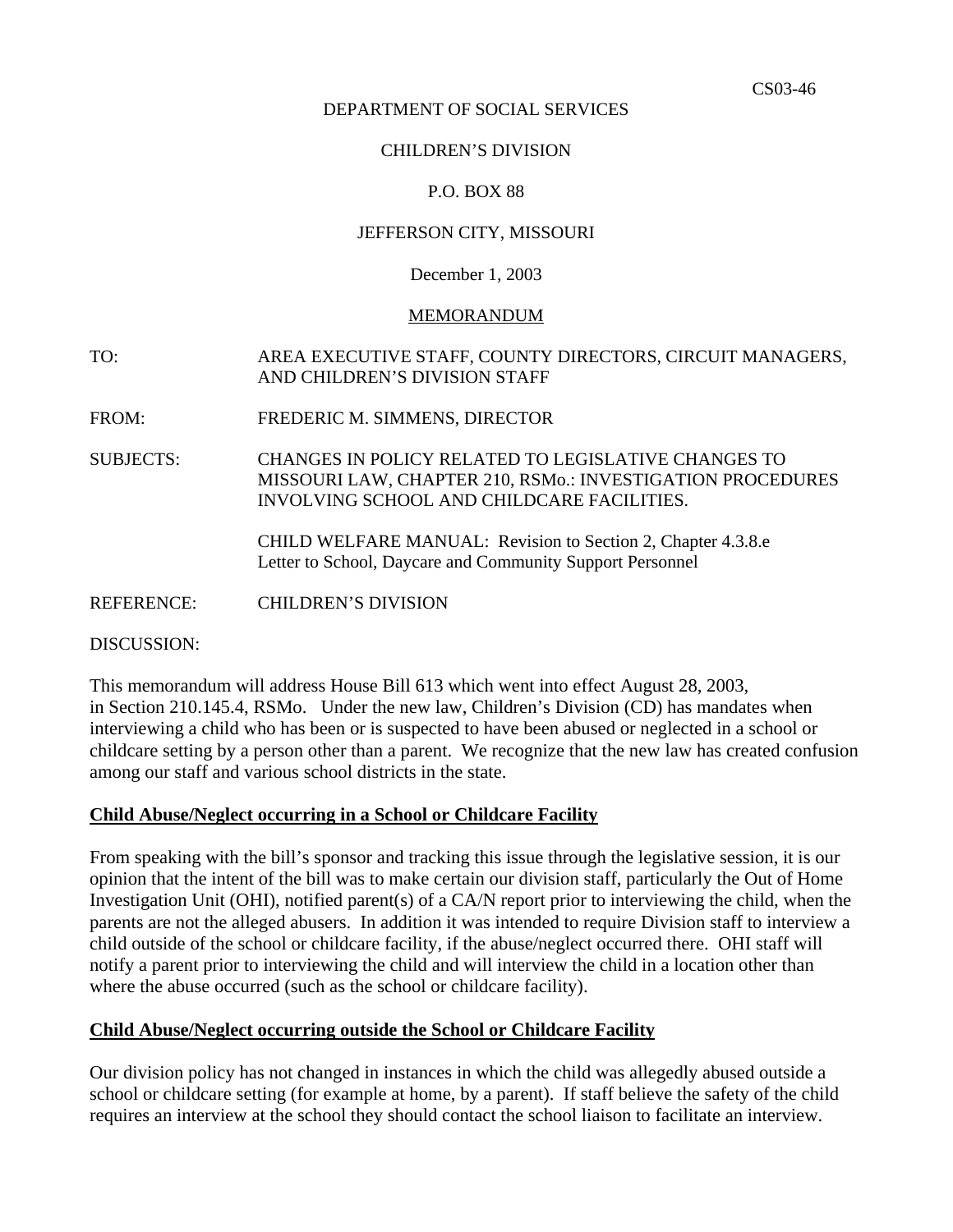#### DEPARTMENT OF SOCIAL SERVICES

## CHILDREN'S DIVISION

## P.O. BOX 88

#### JEFFERSON CITY, MISSOURI

#### December 1, 2003

#### MEMORANDUM

# TO: AREA EXECUTIVE STAFF, COUNTY DIRECTORS, CIRCUIT MANAGERS, AND CHILDREN'S DIVISION STAFF

FROM: FREDERIC M. SIMMENS, DIRECTOR

SUBJECTS: CHANGES IN POLICY RELATED TO LEGISLATIVE CHANGES TO MISSOURI LAW, CHAPTER 210, RSMo.: INVESTIGATION PROCEDURES INVOLVING SCHOOL AND CHILDCARE FACILITIES.

> [CHILD WELFARE MANUAL: Revision to Section 2, Chapter 4.3.8.e](http://dss.missouri.gov/cd/info/cwman/sec2/ch4/2_4_3_8_e.shtml) [Letter to School, Daycare and Community Support Personnel](http://dss.missouri.gov/cd/info/memos/2003/cs46/hb613ltr.pdf)

REFERENCE: CHILDREN'S DIVISION

DISCUSSION:

This memorandum will address [House Bill 613](http://www.house.mo.gov/bills03/bills/hb613.htm) which went into effect August 28, 2003, in Section 210.145.4, RSMo. Under the new law, Children's Division (CD) has mandates when interviewing a child who has been or is suspected to have been abused or neglected in a school or childcare setting by a person other than a parent. We recognize that the new law has created confusion among our staff and various school districts in the state.

## **Child Abuse/Neglect occurring in a School or Childcare Facility**

From speaking with the bill's sponsor and tracking this issue through the legislative session, it is our opinion that the intent of the bill was to make certain our division staff, particularly the Out of Home Investigation Unit (OHI), notified parent(s) of a CA/N report prior to interviewing the child, when the parents are not the alleged abusers. In addition it was intended to require Division staff to interview a child outside of the school or childcare facility, if the abuse/neglect occurred there. OHI staff will notify a parent prior to interviewing the child and will interview the child in a location other than where the abuse occurred (such as the school or childcare facility).

## **Child Abuse/Neglect occurring outside the School or Childcare Facility**

Our division policy has not changed in instances in which the child was allegedly abused outside a school or childcare setting (for example at home, by a parent). If staff believe the safety of the child requires an interview at the school they should contact the school liaison to facilitate an interview.